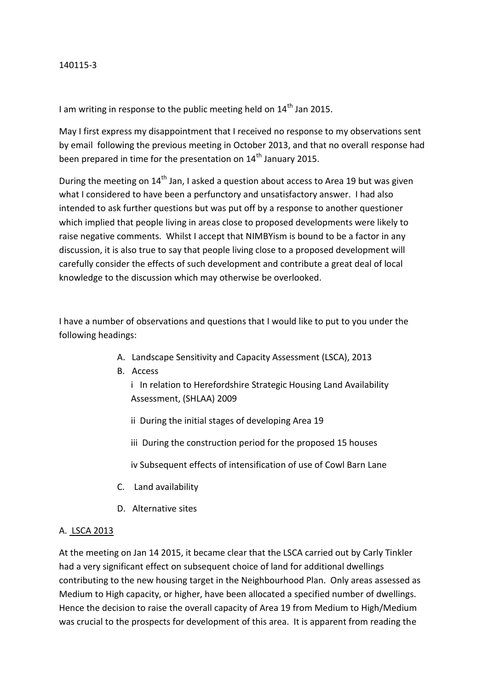#### 140115-3

I am writing in response to the public meeting held on  $14<sup>th</sup>$  Jan 2015.

May I first express my disappointment that I received no response to my observations sent by email following the previous meeting in October 2013, and that no overall response had been prepared in time for the presentation on 14<sup>th</sup> January 2015.

During the meeting on  $14<sup>th</sup>$  Jan, I asked a question about access to Area 19 but was given what I considered to have been a perfunctory and unsatisfactory answer. I had also intended to ask further questions but was put off by a response to another questioner which implied that people living in areas close to proposed developments were likely to raise negative comments. Whilst I accept that NIMBYism is bound to be a factor in any discussion, it is also true to say that people living close to a proposed development will carefully consider the effects of such development and contribute a great deal of local knowledge to the discussion which may otherwise be overlooked.

I have a number of observations and questions that I would like to put to you under the following headings:

- A. Landscape Sensitivity and Capacity Assessment (LSCA), 2013
- B. Access

i In relation to Herefordshire Strategic Housing Land Availability Assessment, (SHLAA) 2009

- ii During the initial stages of developing Area 19
- iii During the construction period for the proposed 15 houses
- iv Subsequent effects of intensification of use of Cowl Barn Lane
- C. Land availability
- D. Alternative sites

#### A. LSCA 2013

At the meeting on Jan 14 2015, it became clear that the LSCA carried out by Carly Tinkler had a very significant effect on subsequent choice of land for additional dwellings contributing to the new housing target in the Neighbourhood Plan. Only areas assessed as Medium to High capacity, or higher, have been allocated a specified number of dwellings. Hence the decision to raise the overall capacity of Area 19 from Medium to High/Medium was crucial to the prospects for development of this area. It is apparent from reading the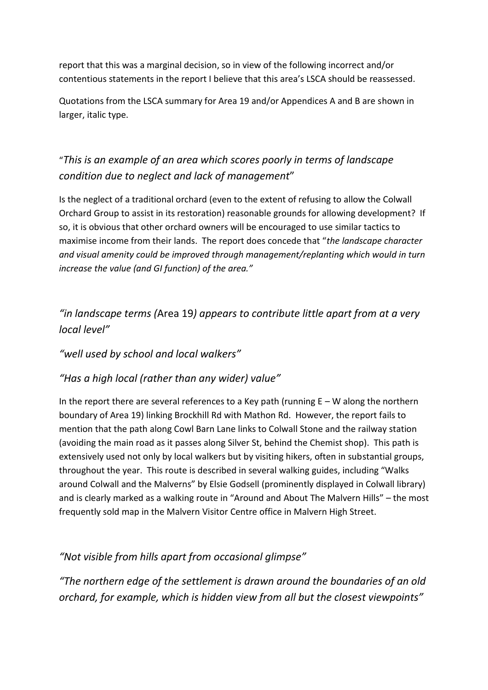report that this was a marginal decision, so in view of the following incorrect and/or contentious statements in the report I believe that this area's LSCA should be reassessed.

Quotations from the LSCA summary for Area 19 and/or Appendices A and B are shown in larger, italic type.

# "*This is an example of an area which scores poorly in terms of landscape condition due to neglect and lack of management*"

Is the neglect of a traditional orchard (even to the extent of refusing to allow the Colwall Orchard Group to assist in its restoration) reasonable grounds for allowing development? If so, it is obvious that other orchard owners will be encouraged to use similar tactics to maximise income from their lands. The report does concede that "*the landscape character and visual amenity could be improved through management/replanting which would in turn increase the value (and GI function) of the area."*

*"in landscape terms (*Area 19*) appears to contribute little apart from at a very local level"*

# *"well used by school and local walkers"*

# *"Has a high local (rather than any wider) value"*

In the report there are several references to a Key path (running  $E - W$  along the northern boundary of Area 19) linking Brockhill Rd with Mathon Rd. However, the report fails to mention that the path along Cowl Barn Lane links to Colwall Stone and the railway station (avoiding the main road as it passes along Silver St, behind the Chemist shop). This path is extensively used not only by local walkers but by visiting hikers, often in substantial groups, throughout the year. This route is described in several walking guides, including "Walks around Colwall and the Malverns" by Elsie Godsell (prominently displayed in Colwall library) and is clearly marked as a walking route in "Around and About The Malvern Hills" – the most frequently sold map in the Malvern Visitor Centre office in Malvern High Street.

*"Not visible from hills apart from occasional glimpse"*

*"The northern edge of the settlement is drawn around the boundaries of an old orchard, for example, which is hidden view from all but the closest viewpoints"*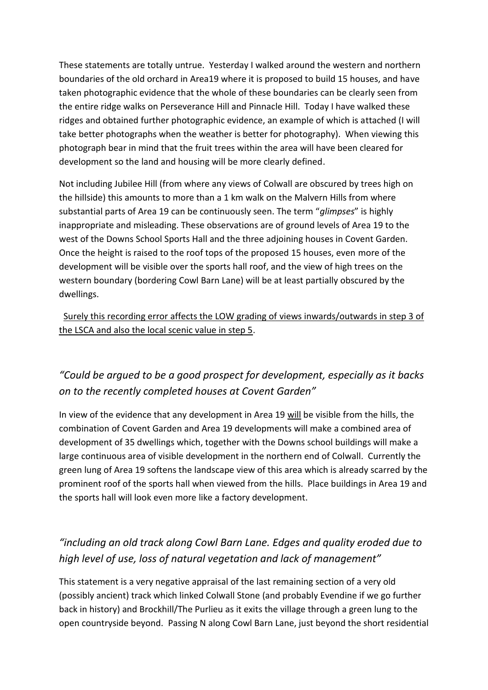These statements are totally untrue. Yesterday I walked around the western and northern boundaries of the old orchard in Area19 where it is proposed to build 15 houses, and have taken photographic evidence that the whole of these boundaries can be clearly seen from the entire ridge walks on Perseverance Hill and Pinnacle Hill. Today I have walked these ridges and obtained further photographic evidence, an example of which is attached (I will take better photographs when the weather is better for photography). When viewing this photograph bear in mind that the fruit trees within the area will have been cleared for development so the land and housing will be more clearly defined.

Not including Jubilee Hill (from where any views of Colwall are obscured by trees high on the hillside) this amounts to more than a 1 km walk on the Malvern Hills from where substantial parts of Area 19 can be continuously seen. The term "*glimpses*" is highly inappropriate and misleading. These observations are of ground levels of Area 19 to the west of the Downs School Sports Hall and the three adjoining houses in Covent Garden. Once the height is raised to the roof tops of the proposed 15 houses, even more of the development will be visible over the sports hall roof, and the view of high trees on the western boundary (bordering Cowl Barn Lane) will be at least partially obscured by the dwellings.

 Surely this recording error affects the LOW grading of views inwards/outwards in step 3 of the LSCA and also the local scenic value in step 5.

# *"Could be argued to be a good prospect for development, especially as it backs on to the recently completed houses at Covent Garden"*

In view of the evidence that any development in Area 19 will be visible from the hills, the combination of Covent Garden and Area 19 developments will make a combined area of development of 35 dwellings which, together with the Downs school buildings will make a large continuous area of visible development in the northern end of Colwall. Currently the green lung of Area 19 softens the landscape view of this area which is already scarred by the prominent roof of the sports hall when viewed from the hills. Place buildings in Area 19 and the sports hall will look even more like a factory development.

# *"including an old track along Cowl Barn Lane. Edges and quality eroded due to high level of use, loss of natural vegetation and lack of management"*

This statement is a very negative appraisal of the last remaining section of a very old (possibly ancient) track which linked Colwall Stone (and probably Evendine if we go further back in history) and Brockhill/The Purlieu as it exits the village through a green lung to the open countryside beyond. Passing N along Cowl Barn Lane, just beyond the short residential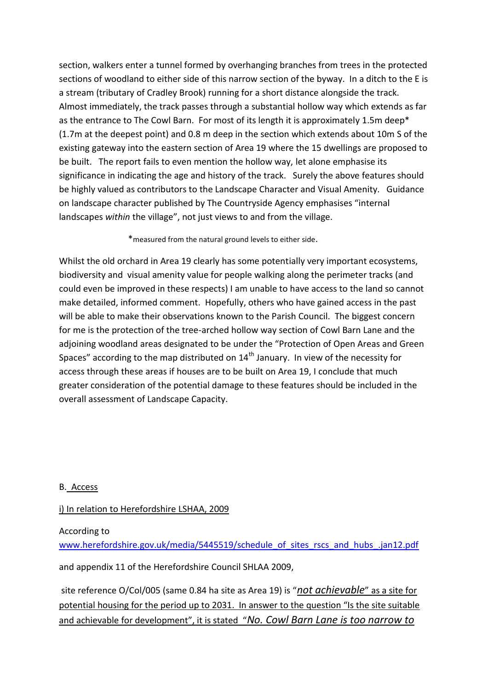section, walkers enter a tunnel formed by overhanging branches from trees in the protected sections of woodland to either side of this narrow section of the byway. In a ditch to the E is a stream (tributary of Cradley Brook) running for a short distance alongside the track. Almost immediately, the track passes through a substantial hollow way which extends as far as the entrance to The Cowl Barn. For most of its length it is approximately 1.5m deep\* (1.7m at the deepest point) and 0.8 m deep in the section which extends about 10m S of the existing gateway into the eastern section of Area 19 where the 15 dwellings are proposed to be built. The report fails to even mention the hollow way, let alone emphasise its significance in indicating the age and history of the track. Surely the above features should be highly valued as contributors to the Landscape Character and Visual Amenity. Guidance on landscape character published by The Countryside Agency emphasises "internal landscapes *within* the village", not just views to and from the village.

#### \*measured from the natural ground levels to either side.

Whilst the old orchard in Area 19 clearly has some potentially very important ecosystems, biodiversity and visual amenity value for people walking along the perimeter tracks (and could even be improved in these respects) I am unable to have access to the land so cannot make detailed, informed comment. Hopefully, others who have gained access in the past will be able to make their observations known to the Parish Council. The biggest concern for me is the protection of the tree-arched hollow way section of Cowl Barn Lane and the adjoining woodland areas designated to be under the "Protection of Open Areas and Green Spaces" according to the map distributed on  $14<sup>th</sup>$  January. In view of the necessity for access through these areas if houses are to be built on Area 19, I conclude that much greater consideration of the potential damage to these features should be included in the overall assessment of Landscape Capacity.

#### B. Access

#### i) In relation to Herefordshire LSHAA, 2009

#### According to

[www.herefordshire.gov.uk/media/5445519/schedule\\_of\\_sites\\_rscs\\_and\\_hubs\\_.jan12.pdf](http://www.herefordshire.gov.uk/media/5445519/schedule_of_sites_rscs_and_hubs_.jan12.pdf)

and appendix 11 of the Herefordshire Council SHLAA 2009,

site reference O/Col/005 (same 0.84 ha site as Area 19) is "*not achievable*" as a site for potential housing for the period up to 2031. In answer to the question "Is the site suitable and achievable for development", it is stated "*No. Cowl Barn Lane is too narrow to*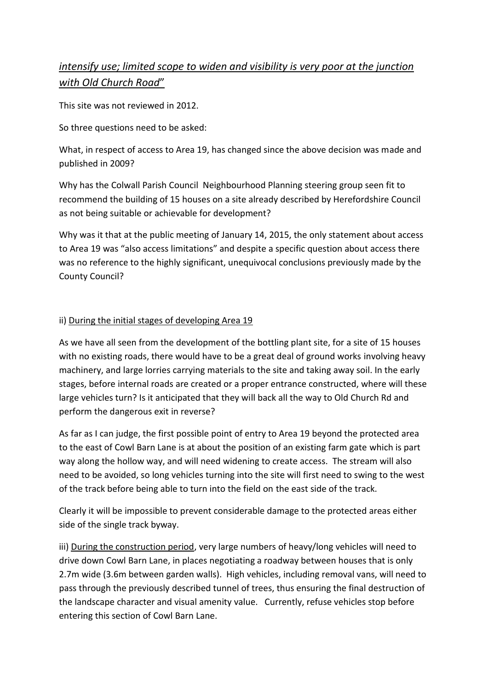# *intensify use; limited scope to widen and visibility is very poor at the junction with Old Church Road*"

This site was not reviewed in 2012.

So three questions need to be asked:

What, in respect of access to Area 19, has changed since the above decision was made and published in 2009?

Why has the Colwall Parish Council Neighbourhood Planning steering group seen fit to recommend the building of 15 houses on a site already described by Herefordshire Council as not being suitable or achievable for development?

Why was it that at the public meeting of January 14, 2015, the only statement about access to Area 19 was "also access limitations" and despite a specific question about access there was no reference to the highly significant, unequivocal conclusions previously made by the County Council?

## ii) During the initial stages of developing Area 19

As we have all seen from the development of the bottling plant site, for a site of 15 houses with no existing roads, there would have to be a great deal of ground works involving heavy machinery, and large lorries carrying materials to the site and taking away soil. In the early stages, before internal roads are created or a proper entrance constructed, where will these large vehicles turn? Is it anticipated that they will back all the way to Old Church Rd and perform the dangerous exit in reverse?

As far as I can judge, the first possible point of entry to Area 19 beyond the protected area to the east of Cowl Barn Lane is at about the position of an existing farm gate which is part way along the hollow way, and will need widening to create access. The stream will also need to be avoided, so long vehicles turning into the site will first need to swing to the west of the track before being able to turn into the field on the east side of the track.

Clearly it will be impossible to prevent considerable damage to the protected areas either side of the single track byway.

iii) During the construction period, very large numbers of heavy/long vehicles will need to drive down Cowl Barn Lane, in places negotiating a roadway between houses that is only 2.7m wide (3.6m between garden walls). High vehicles, including removal vans, will need to pass through the previously described tunnel of trees, thus ensuring the final destruction of the landscape character and visual amenity value. Currently, refuse vehicles stop before entering this section of Cowl Barn Lane.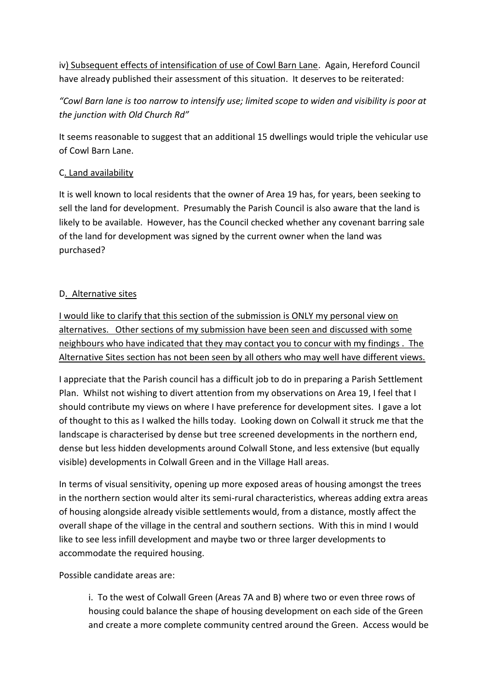iv) Subsequent effects of intensification of use of Cowl Barn Lane. Again, Hereford Council have already published their assessment of this situation. It deserves to be reiterated:

*"Cowl Barn lane is too narrow to intensify use; limited scope to widen and visibility is poor at the junction with Old Church Rd"*

It seems reasonable to suggest that an additional 15 dwellings would triple the vehicular use of Cowl Barn Lane.

### C. Land availability

It is well known to local residents that the owner of Area 19 has, for years, been seeking to sell the land for development. Presumably the Parish Council is also aware that the land is likely to be available. However, has the Council checked whether any covenant barring sale of the land for development was signed by the current owner when the land was purchased?

## D. Alternative sites

I would like to clarify that this section of the submission is ONLY my personal view on alternatives. Other sections of my submission have been seen and discussed with some neighbours who have indicated that they may contact you to concur with my findings . The Alternative Sites section has not been seen by all others who may well have different views.

I appreciate that the Parish council has a difficult job to do in preparing a Parish Settlement Plan. Whilst not wishing to divert attention from my observations on Area 19, I feel that I should contribute my views on where I have preference for development sites. I gave a lot of thought to this as I walked the hills today. Looking down on Colwall it struck me that the landscape is characterised by dense but tree screened developments in the northern end, dense but less hidden developments around Colwall Stone, and less extensive (but equally visible) developments in Colwall Green and in the Village Hall areas.

In terms of visual sensitivity, opening up more exposed areas of housing amongst the trees in the northern section would alter its semi-rural characteristics, whereas adding extra areas of housing alongside already visible settlements would, from a distance, mostly affect the overall shape of the village in the central and southern sections. With this in mind I would like to see less infill development and maybe two or three larger developments to accommodate the required housing.

Possible candidate areas are:

i. To the west of Colwall Green (Areas 7A and B) where two or even three rows of housing could balance the shape of housing development on each side of the Green and create a more complete community centred around the Green. Access would be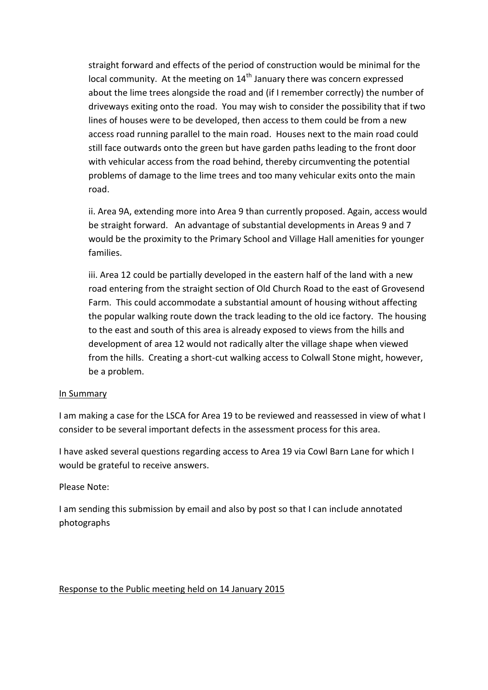straight forward and effects of the period of construction would be minimal for the local community. At the meeting on 14<sup>th</sup> January there was concern expressed about the lime trees alongside the road and (if I remember correctly) the number of driveways exiting onto the road. You may wish to consider the possibility that if two lines of houses were to be developed, then access to them could be from a new access road running parallel to the main road. Houses next to the main road could still face outwards onto the green but have garden paths leading to the front door with vehicular access from the road behind, thereby circumventing the potential problems of damage to the lime trees and too many vehicular exits onto the main road.

ii. Area 9A, extending more into Area 9 than currently proposed. Again, access would be straight forward. An advantage of substantial developments in Areas 9 and 7 would be the proximity to the Primary School and Village Hall amenities for younger families.

iii. Area 12 could be partially developed in the eastern half of the land with a new road entering from the straight section of Old Church Road to the east of Grovesend Farm. This could accommodate a substantial amount of housing without affecting the popular walking route down the track leading to the old ice factory. The housing to the east and south of this area is already exposed to views from the hills and development of area 12 would not radically alter the village shape when viewed from the hills. Creating a short-cut walking access to Colwall Stone might, however, be a problem.

#### In Summary

I am making a case for the LSCA for Area 19 to be reviewed and reassessed in view of what I consider to be several important defects in the assessment process for this area.

I have asked several questions regarding access to Area 19 via Cowl Barn Lane for which I would be grateful to receive answers.

### Please Note:

I am sending this submission by email and also by post so that I can include annotated photographs

### Response to the Public meeting held on 14 January 2015